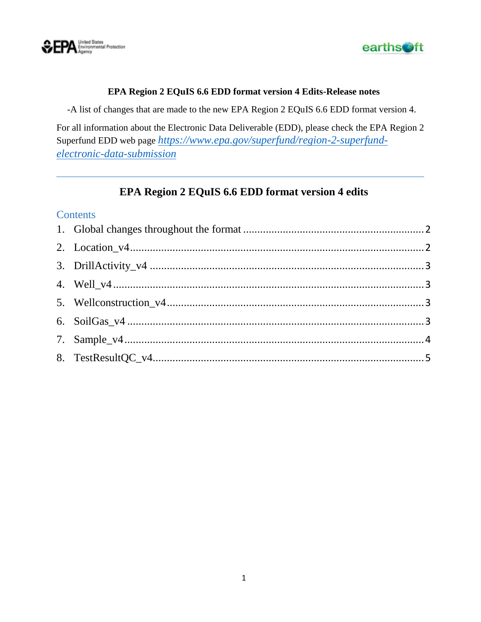



#### **EPA Region 2 EQuIS 6.6 EDD format version 4 Edits-Release notes**

-A list of changes that are made to the new EPA Region 2 EQuIS 6.6 EDD format version 4.

For all information about the Electronic Data Deliverable (EDD), please check the EPA Region 2 Superfund EDD web page *[https://www.epa.gov/superfund/region-2-superfund](https://www.epa.gov/superfund/region-2-superfund-electronic-data-submission)[electronic-data-submission](https://www.epa.gov/superfund/region-2-superfund-electronic-data-submission)*

\_\_\_\_\_\_\_\_\_\_\_\_\_\_\_\_\_\_\_\_\_\_\_\_\_\_\_\_\_\_\_\_\_\_\_\_\_\_\_\_\_\_\_\_\_\_\_\_\_\_\_\_\_\_\_\_\_\_\_\_\_\_\_\_\_\_\_\_\_\_\_\_\_\_\_\_\_\_

#### **EPA Region 2 EQuIS 6.6 EDD format version 4 edits**

#### **Contents**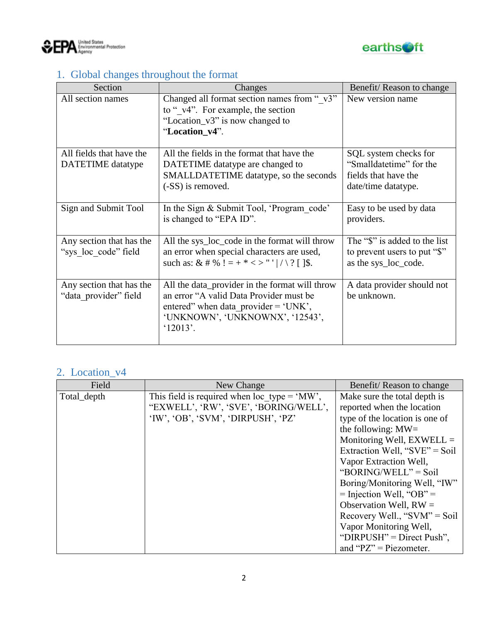



# <span id="page-1-0"></span>1. Global changes throughout the format

| Section                  | Changes                                        | Benefit/Reason to change      |
|--------------------------|------------------------------------------------|-------------------------------|
| All section names        | Changed all format section names from "v3"     | New version name              |
|                          | to "v4". For example, the section              |                               |
|                          | "Location_v3" is now changed to                |                               |
|                          | "Location_v4".                                 |                               |
|                          |                                                |                               |
| All fields that have the | All the fields in the format that have the     | SQL system checks for         |
| DATETIME datatype        | DATETIME datatype are changed to               | "Smalldatetime" for the       |
|                          | SMALLDATETIME datatype, so the seconds         | fields that have the          |
|                          | (-SS) is removed.                              | date/time datatype.           |
|                          |                                                |                               |
| Sign and Submit Tool     | In the Sign & Submit Tool, 'Program code'      | Easy to be used by data       |
|                          | is changed to "EPA ID".                        | providers.                    |
|                          |                                                |                               |
| Any section that has the | All the sys_loc_code in the format will throw  | The "\$" is added to the list |
| "sys loc code" field     | an error when special characters are used,     | to prevent users to put "\$"  |
|                          | such as: & # % ! = + * < > "' / \ ? [ ]\$.     | as the sys_loc_code.          |
|                          |                                                |                               |
| Any section that has the | All the data_provider in the format will throw | A data provider should not    |
| "data provider" field    | an error "A valid Data Provider must be        | be unknown.                   |
|                          | entered" when data provider $=$ 'UNK',         |                               |
|                          | 'UNKNOWN', 'UNKNOWNX', '12543',                |                               |
|                          | '12013'.                                       |                               |
|                          |                                                |                               |

## <span id="page-1-1"></span>2. Location\_v4

| Field       | New Change                                   | Benefit/Reason to change         |
|-------------|----------------------------------------------|----------------------------------|
| Total_depth | This field is required when loc type = 'MW', | Make sure the total depth is     |
|             | "EXWELL', 'RW', 'SVE', 'BORING/WELL',        | reported when the location       |
|             | 'IW', 'OB', 'SVM', 'DIRPUSH', 'PZ'           | type of the location is one of   |
|             |                                              | the following: $MW=$             |
|             |                                              | Monitoring Well, $EXWELL =$      |
|             |                                              | Extraction Well, " $SVE" = Soil$ |
|             |                                              | Vapor Extraction Well,           |
|             |                                              | "BORING/WELL" = Soil             |
|             |                                              | Boring/Monitoring Well, "IW"     |
|             |                                              | $=$ Injection Well, "OB" $=$     |
|             |                                              | Observation Well, $RW =$         |
|             |                                              | Recovery Well., " $SVM$ " = Soil |
|             |                                              | Vapor Monitoring Well,           |
|             |                                              | "DIRPUSH" = Direct Push",        |
|             |                                              | and " $PZ$ " = Piezometer.       |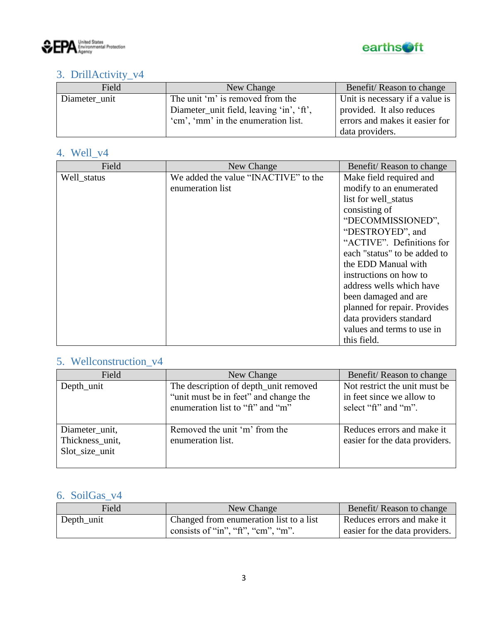



### <span id="page-2-0"></span>3. DrillActivity\_v4

| Field         | New Change                               | Benefit/Reason to change        |
|---------------|------------------------------------------|---------------------------------|
| Diameter unit | The unit 'm' is removed from the         | Unit is necessary if a value is |
|               | Diameter_unit field, leaving 'in', 'ft', | provided. It also reduces       |
|               | 'cm', 'mm' in the enumeration list.      | errors and makes it easier for  |
|               |                                          | data providers.                 |

### <span id="page-2-1"></span>4. Well\_v4

| Field       | New Change                           | Benefit/Reason to change     |
|-------------|--------------------------------------|------------------------------|
| Well status | We added the value "INACTIVE" to the | Make field required and      |
|             | enumeration list                     | modify to an enumerated      |
|             |                                      | list for well_status         |
|             |                                      | consisting of                |
|             |                                      | "DECOMMISSIONED",            |
|             |                                      | "DESTROYED", and             |
|             |                                      | "ACTIVE". Definitions for    |
|             |                                      | each "status" to be added to |
|             |                                      | the EDD Manual with          |
|             |                                      | instructions on how to       |
|             |                                      | address wells which have     |
|             |                                      | been damaged and are         |
|             |                                      | planned for repair. Provides |
|             |                                      | data providers standard      |
|             |                                      | values and terms to use in   |
|             |                                      | this field.                  |

### <span id="page-2-2"></span>5. Wellconstruction\_v4

| Field                                               | New Change                                                                                                         | Benefit/Reason to change                                                           |
|-----------------------------------------------------|--------------------------------------------------------------------------------------------------------------------|------------------------------------------------------------------------------------|
| Depth_unit                                          | The description of depth_unit removed<br>"unit must be in feet" and change the<br>enumeration list to "ft" and "m" | Not restrict the unit must be<br>in feet since we allow to<br>select "ft" and "m". |
| Diameter_unit,<br>Thickness_unit,<br>Slot size unit | Removed the unit 'm' from the<br>enumeration list.                                                                 | Reduces errors and make it<br>easier for the data providers.                       |

### <span id="page-2-3"></span>6. SoilGas\_v4

| Field      | New Change                              | Benefit/Reason to change       |
|------------|-----------------------------------------|--------------------------------|
| Depth_unit | Changed from enumeration list to a list | Reduces errors and make it     |
|            | consists of "in", "ft", "cm", "m".      | easier for the data providers. |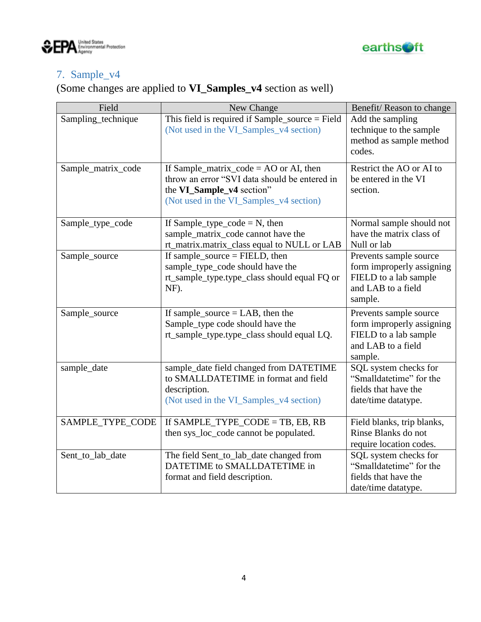



### <span id="page-3-0"></span>7. Sample\_v4

# (Some changes are applied to **VI\_Samples\_v4** section as well)

| Field              | New Change                                                                                                                                                           | Benefit/Reason to change                                                                                      |
|--------------------|----------------------------------------------------------------------------------------------------------------------------------------------------------------------|---------------------------------------------------------------------------------------------------------------|
| Sampling_technique | This field is required if $Sample\_source = Field$<br>(Not used in the VI_Samples_v4 section)                                                                        | Add the sampling<br>technique to the sample<br>method as sample method<br>codes.                              |
| Sample_matrix_code | If Sample_matrix_code = $AO$ or $AI$ , then<br>throw an error "SVI data should be entered in<br>the VI_Sample_v4 section"<br>(Not used in the VI_Samples_v4 section) | Restrict the AO or AI to<br>be entered in the VI<br>section.                                                  |
| Sample_type_code   | If Sample_type_code = $N$ , then<br>sample_matrix_code cannot have the<br>rt_matrix.matrix_class equal to NULL or LAB                                                | Normal sample should not<br>have the matrix class of<br>Null or lab                                           |
| Sample_source      | If sample_source $=$ FIELD, then<br>sample_type_code should have the<br>rt_sample_type.type_class should equal FQ or<br>NF).                                         | Prevents sample source<br>form improperly assigning<br>FIELD to a lab sample<br>and LAB to a field<br>sample. |
| Sample_source      | If sample_source $=$ LAB, then the<br>Sample_type code should have the<br>rt_sample_type.type_class should equal LQ.                                                 | Prevents sample source<br>form improperly assigning<br>FIELD to a lab sample<br>and LAB to a field<br>sample. |
| sample_date        | sample_date field changed from DATETIME<br>to SMALLDATETIME in format and field<br>description.<br>(Not used in the VI_Samples_v4 section)                           | SQL system checks for<br>"Smalldatetime" for the<br>fields that have the<br>date/time datatype.               |
| SAMPLE_TYPE_CODE   | If SAMPLE_TYPE_CODE = TB, EB, RB<br>then sys_loc_code cannot be populated.                                                                                           | Field blanks, trip blanks,<br>Rinse Blanks do not<br>require location codes.                                  |
| Sent_to_lab_date   | The field Sent_to_lab_date changed from<br>DATETIME to SMALLDATETIME in<br>format and field description.                                                             | SQL system checks for<br>"Smalldatetime" for the<br>fields that have the<br>date/time datatype.               |